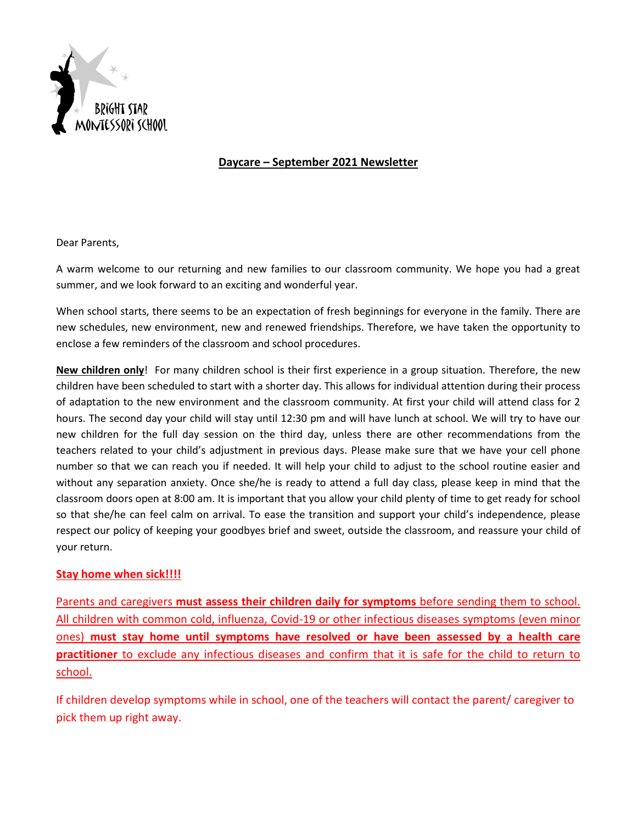

## **Daycare – September 2021 Newsletter**

Dear Parents,

A warm welcome to our returning and new families to our classroom community. We hope you had a great summer, and we look forward to an exciting and wonderful year.

When school starts, there seems to be an expectation of fresh beginnings for everyone in the family. There are new schedules, new environment, new and renewed friendships. Therefore, we have taken the opportunity to enclose a few reminders of the classroom and school procedures.

**New children only**! For many children school is their first experience in a group situation. Therefore, the new children have been scheduled to start with a shorter day. This allows for individual attention during their process of adaptation to the new environment and the classroom community. At first your child will attend class for 2 hours. The second day your child will stay until 12:30 pm and will have lunch at school. We will try to have our new children for the full day session on the third day, unless there are other recommendations from the teachers related to your child's adjustment in previous days. Please make sure that we have your cell phone number so that we can reach you if needed. It will help your child to adjust to the school routine easier and without any separation anxiety. Once she/he is ready to attend a full day class, please keep in mind that the classroom doors open at 8:00 am. It is important that you allow your child plenty of time to get ready for school so that she/he can feel calm on arrival. To ease the transition and support your child's independence, please respect our policy of keeping your goodbyes brief and sweet, outside the classroom, and reassure your child of your return.

## **Stay home when sick!!!!**

Parents and caregivers **must assess their children daily for symptoms** before sending them to school. All children with common cold, influenza, Covid-19 or other infectious diseases symptoms (even minor ones) **must stay home until symptoms have resolved or have been assessed by a health care practitioner** to exclude any infectious diseases and confirm that it is safe for the child to return to school.

If children develop symptoms while in school, one of the teachers will contact the parent/ caregiver to pick them up right away.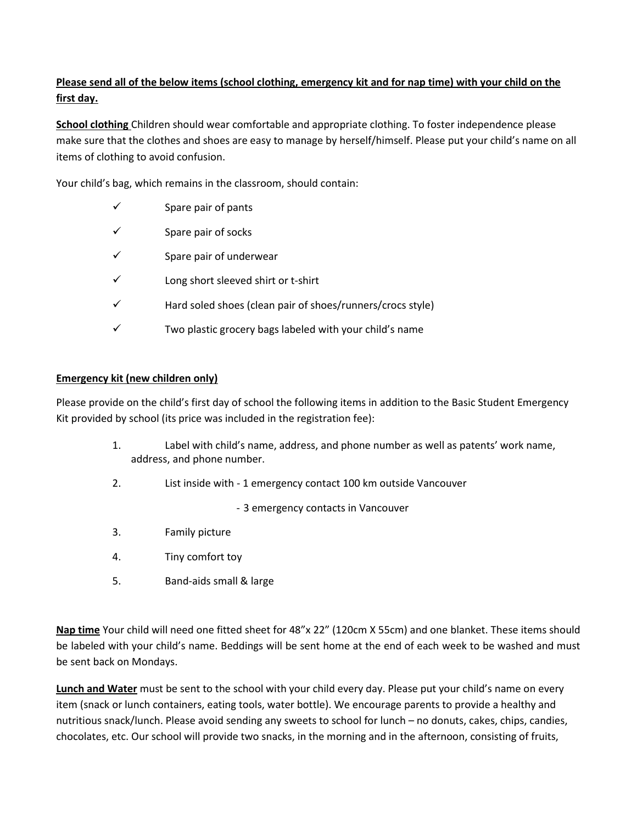## **Please send all of the below items (school clothing, emergency kit and for nap time) with your child on the first day.**

**School clothing** Children should wear comfortable and appropriate clothing. To foster independence please make sure that the clothes and shoes are easy to manage by herself/himself. Please put your child's name on all items of clothing to avoid confusion.

Your child's bag, which remains in the classroom, should contain:

- $\checkmark$  Spare pair of pants
- ✓ Spare pair of socks
- $\checkmark$  Spare pair of underwear
- ✓ Long short sleeved shirt or t-shirt
- $\checkmark$  Hard soled shoes (clean pair of shoes/runners/crocs style)
- ✓ Two plastic grocery bags labeled with your child's name

## **Emergency kit (new children only)**

Please provide on the child's first day of school the following items in addition to the Basic Student Emergency Kit provided by school (its price was included in the registration fee):

- 1. Label with child's name, address, and phone number as well as patents' work name, address, and phone number.
- 2. List inside with 1 emergency contact 100 km outside Vancouver

- 3 emergency contacts in Vancouver

- 3. Family picture
- 4. Tiny comfort toy
- 5. Band-aids small & large

**Nap time** Your child will need one fitted sheet for 48"x 22" (120cm X 55cm) and one blanket. These items should be labeled with your child's name. Beddings will be sent home at the end of each week to be washed and must be sent back on Mondays.

**Lunch and Water** must be sent to the school with your child every day. Please put your child's name on every item (snack or lunch containers, eating tools, water bottle). We encourage parents to provide a healthy and nutritious snack/lunch. Please avoid sending any sweets to school for lunch – no donuts, cakes, chips, candies, chocolates, etc. Our school will provide two snacks, in the morning and in the afternoon, consisting of fruits,